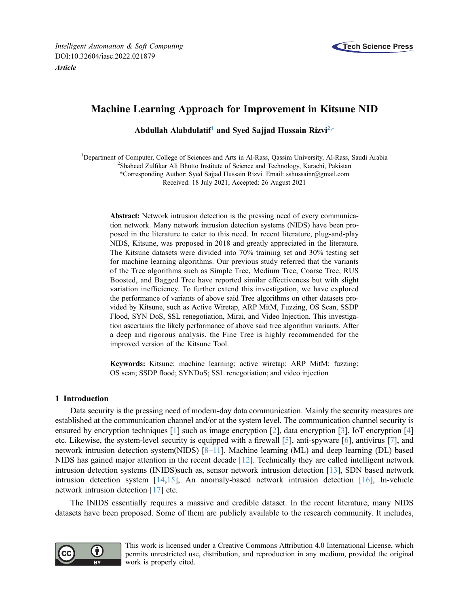

# Machine Learning Approach for Improvement in Kitsune NID

Abdullah Alabdulatif<sup>1</sup> and Syed Sajjad Hussain Rizvi<sup>2,[\\*](#page-0-2)</sup>

<span id="page-0-2"></span><span id="page-0-1"></span><span id="page-0-0"></span><sup>1</sup>Department of Computer, College of Sciences and Arts in Al-Rass, Qassim University, Al-Rass, Saudi Arabia <sup>2</sup>Shoheed Zulfiker, Ali Bhutto Institute of Science and Technology, Karachi, Pakistan <sup>2</sup>Shaheed Zulfikar Ali Bhutto Institute of Science and Technology, Karachi, Pakistan \*Corresponding Author: Syed Sajjad Hussain Rizvi. Email: [sshussainr@gmail.com](mailto:sshussainr@gmail.com) Received: 18 July 2021; Accepted: 26 August 2021

Abstract: Network intrusion detection is the pressing need of every communication network. Many network intrusion detection systems (NIDS) have been proposed in the literature to cater to this need. In recent literature, plug-and-play NIDS, Kitsune, was proposed in 2018 and greatly appreciated in the literature. The Kitsune datasets were divided into 70% training set and 30% testing set for machine learning algorithms. Our previous study referred that the variants of the Tree algorithms such as Simple Tree, Medium Tree, Coarse Tree, RUS Boosted, and Bagged Tree have reported similar effectiveness but with slight variation inefficiency. To further extend this investigation, we have explored the performance of variants of above said Tree algorithms on other datasets provided by Kitsune, such as Active Wiretap, ARP MitM, Fuzzing, OS Scan, SSDP Flood, SYN DoS, SSL renegotiation, Mirai, and Video Injection. This investigation ascertains the likely performance of above said tree algorithm variants. After a deep and rigorous analysis, the Fine Tree is highly recommended for the improved version of the Kitsune Tool.

Keywords: Kitsune; machine learning; active wiretap; ARP MitM; fuzzing; OS scan; SSDP flood; SYNDoS; SSL renegotiation; and video injection

## 1 Introduction

Data security is the pressing need of modern-day data communication. Mainly the security measures are established at the communication channel and/or at the system level. The communication channel security is ensured by encryption techniques [[1](#page-11-0)] such as image encryption [[2](#page-11-1)], data encryption [\[3](#page-11-2)], IoT encryption [\[4\]](#page-11-3) etc. Likewise, the system-level security is equipped with a firewall [\[5\]](#page-11-4), anti-spyware [[6](#page-11-5)], antivirus [\[7\]](#page-11-6), and network intrusion detection system(NIDS) [\[8](#page-11-7)–[11\]](#page-11-8). Machine learning (ML) and deep learning (DL) based NIDS has gained major attention in the recent decade [[12](#page-11-9)]. Technically they are called intelligent network intrusion detection systems (INIDS)such as, sensor network intrusion detection [[13\]](#page-12-0), SDN based network intrusion detection system [\[14](#page-12-1),[15\]](#page-12-2), An anomaly-based network intrusion detection [\[16](#page-12-3)], In-vehicle network intrusion detection [\[17](#page-12-4)] etc.

The INIDS essentially requires a massive and credible dataset. In the recent literature, many NIDS datasets have been proposed. Some of them are publicly available to the research community. It includes,



This work is licensed under a Creative Commons Attribution 4.0 International License, which permits unrestricted use, distribution, and reproduction in any medium, provided the original work is properly cited.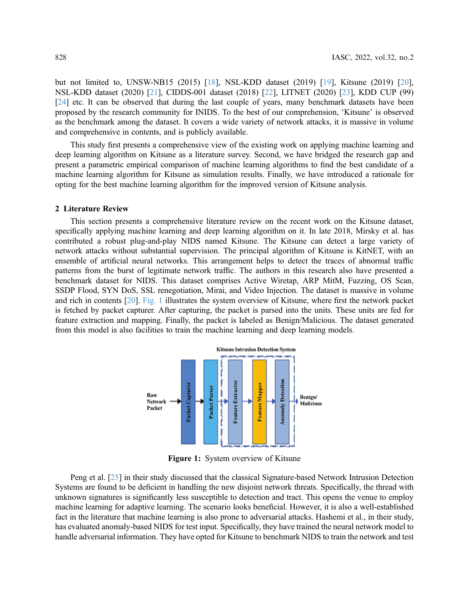but not limited to, UNSW-NB15 (2015) [[18\]](#page-12-5), NSL-KDD dataset (2019) [[19\]](#page-12-6), Kitsune (2019) [[20\]](#page-12-7), NSL-KDD dataset (2020) [[21](#page-12-8)], CIDDS-001 dataset (2018) [[22\]](#page-12-9), LITNET (2020) [[23\]](#page-12-10), KDD CUP (99) [[24](#page-12-11)] etc. It can be observed that during the last couple of years, many benchmark datasets have been proposed by the research community for INIDS. To the best of our comprehension, 'Kitsune' is observed as the benchmark among the dataset. It covers a wide variety of network attacks, it is massive in volume and comprehensive in contents, and is publicly available.

This study first presents a comprehensive view of the existing work on applying machine learning and deep learning algorithm on Kitsune as a literature survey. Second, we have bridged the research gap and present a parametric empirical comparison of machine learning algorithms to find the best candidate of a machine learning algorithm for Kitsune as simulation results. Finally, we have introduced a rationale for opting for the best machine learning algorithm for the improved version of Kitsune analysis.

#### 2 Literature Review

This section presents a comprehensive literature review on the recent work on the Kitsune dataset, specifically applying machine learning and deep learning algorithm on it. In late 2018, Mirsky et al. has contributed a robust plug-and-play NIDS named Kitsune. The Kitsune can detect a large variety of network attacks without substantial supervision. The principal algorithm of Kitsune is KitNET, with an ensemble of artificial neural networks. This arrangement helps to detect the traces of abnormal traffic patterns from the burst of legitimate network traffic. The authors in this research also have presented a benchmark dataset for NIDS. This dataset comprises Active Wiretap, ARP MitM, Fuzzing, OS Scan, SSDP Flood, SYN DoS, SSL renegotiation, Mirai, and Video Injection. The dataset is massive in volume and rich in contents [[20\]](#page-12-7). [Fig. 1](#page-1-0) illustrates the system overview of Kitsune, where first the network packet is fetched by packet capturer. After capturing, the packet is parsed into the units. These units are fed for feature extraction and mapping. Finally, the packet is labeled as Benign/Malicious. The dataset generated from this model is also facilities to train the machine learning and deep learning models.

<span id="page-1-0"></span>

Figure 1: System overview of Kitsune

Peng et al. [\[25](#page-12-12)] in their study discussed that the classical Signature-based Network Intrusion Detection Systems are found to be deficient in handling the new disjoint network threats. Specifically, the thread with unknown signatures is significantly less susceptible to detection and tract. This opens the venue to employ machine learning for adaptive learning. The scenario looks beneficial. However, it is also a well-established fact in the literature that machine learning is also prone to adversarial attacks. Hashemi et al., in their study, has evaluated anomaly-based NIDS for test input. Specifically, they have trained the neural network model to handle adversarial information. They have opted for Kitsune to benchmark NIDS to train the network and test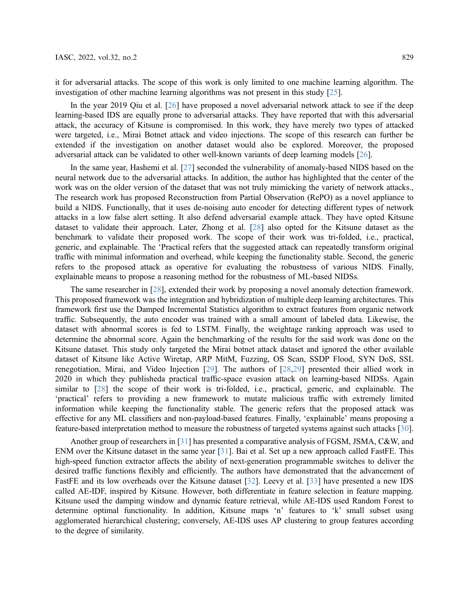it for adversarial attacks. The scope of this work is only limited to one machine learning algorithm. The investigation of other machine learning algorithms was not present in this study [\[25](#page-12-12)].

In the year 2019 Qiu et al. [\[26](#page-12-13)] have proposed a novel adversarial network attack to see if the deep learning-based IDS are equally prone to adversarial attacks. They have reported that with this adversarial attack, the accuracy of Kitsune is compromised. In this work, they have merely two types of attacked were targeted, i.e., Mirai Botnet attack and video injections. The scope of this research can further be extended if the investigation on another dataset would also be explored. Moreover, the proposed adversarial attack can be validated to other well-known variants of deep learning models [\[26](#page-12-13)].

In the same year, Hashemi et al. [[27\]](#page-12-14) seconded the vulnerability of anomaly-based NIDS based on the neural network due to the adversarial attacks. In addition, the author has highlighted that the center of the work was on the older version of the dataset that was not truly mimicking the variety of network attacks., The research work has proposed Reconstruction from Partial Observation (RePO) as a novel appliance to build a NIDS. Functionally, that it uses de-noising auto encoder for detecting different types of network attacks in a low false alert setting. It also defend adversarial example attack. They have opted Kitsune dataset to validate their approach. Later, Zhong et al. [[28\]](#page-12-15) also opted for the Kitsune dataset as the benchmark to validate their proposed work. The scope of their work was tri-folded, i.e., practical, generic, and explainable. The 'Practical refers that the suggested attack can repeatedly transform original traffic with minimal information and overhead, while keeping the functionality stable. Second, the generic refers to the proposed attack as operative for evaluating the robustness of various NIDS. Finally, explainable means to propose a reasoning method for the robustness of ML-based NIDSs.

The same researcher in [[28\]](#page-12-15), extended their work by proposing a novel anomaly detection framework. This proposed framework was the integration and hybridization of multiple deep learning architectures. This framework first use the Damped Incremental Statistics algorithm to extract features from organic network traffic. Subsequently, the auto encoder was trained with a small amount of labeled data. Likewise, the dataset with abnormal scores is fed to LSTM. Finally, the weightage ranking approach was used to determine the abnormal score. Again the benchmarking of the results for the said work was done on the Kitsune dataset. This study only targeted the Mirai botnet attack dataset and ignored the other available dataset of Kitsune like Active Wiretap, ARP MitM, Fuzzing, OS Scan, SSDP Flood, SYN DoS, SSL renegotiation, Mirai, and Video Injection [\[29](#page-12-16)]. The authors of [\[28](#page-12-15),[29\]](#page-12-16) presented their allied work in 2020 in which they publisheda practical traffic-space evasion attack on learning-based NIDSs. Again similar to [[28\]](#page-12-15) the scope of their work is tri-folded, i.e., practical, generic, and explainable. The 'practical' refers to providing a new framework to mutate malicious traffic with extremely limited information while keeping the functionality stable. The generic refers that the proposed attack was effective for any ML classifiers and non-payload-based features. Finally, 'explainable' means proposing a feature-based interpretation method to measure the robustness of targeted systems against such attacks [[30\]](#page-12-17).

Another group of researchers in [\[31](#page-13-0)] has presented a comparative analysis of FGSM, JSMA, C&W, and ENM over the Kitsune dataset in the same year [[31\]](#page-13-0). Bai et al. Set up a new approach called FastFE. This high-speed function extractor affects the ability of next-generation programmable switches to deliver the desired traffic functions flexibly and efficiently. The authors have demonstrated that the advancement of FastFE and its low overheads over the Kitsune dataset [[32\]](#page-13-1). Leevy et al. [\[33](#page-13-2)] have presented a new IDS called AE-IDF, inspired by Kitsune. However, both differentiate in feature selection in feature mapping. Kitsune used the damping window and dynamic feature retrieval, while AE-IDS used Random Forest to determine optimal functionality. In addition, Kitsune maps 'n' features to 'k' small subset using agglomerated hierarchical clustering; conversely, AE-IDS uses AP clustering to group features according to the degree of similarity.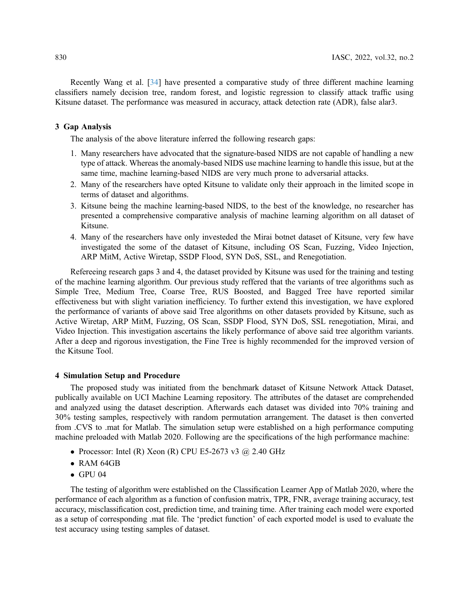Recently Wang et al. [[34\]](#page-13-3) have presented a comparative study of three different machine learning classifiers namely decision tree, random forest, and logistic regression to classify attack traffic using Kitsune dataset. The performance was measured in accuracy, attack detection rate (ADR), false alar3.

## 3 Gap Analysis

The analysis of the above literature inferred the following research gaps:

- 1. Many researchers have advocated that the signature-based NIDS are not capable of handling a new type of attack. Whereas the anomaly-based NIDS use machine learning to handle this issue, but at the same time, machine learning-based NIDS are very much prone to adversarial attacks.
- 2. Many of the researchers have opted Kitsune to validate only their approach in the limited scope in terms of dataset and algorithms.
- 3. Kitsune being the machine learning-based NIDS, to the best of the knowledge, no researcher has presented a comprehensive comparative analysis of machine learning algorithm on all dataset of Kitsune.
- 4. Many of the researchers have only investeded the Mirai botnet dataset of Kitsune, very few have investigated the some of the dataset of Kitsune, including OS Scan, Fuzzing, Video Injection, ARP MitM, Active Wiretap, SSDP Flood, SYN DoS, SSL, and Renegotiation.

Refereeing research gaps 3 and 4, the dataset provided by Kitsune was used for the training and testing of the machine learning algorithm. Our previous study reffered that the variants of tree algorithms such as Simple Tree, Medium Tree, Coarse Tree, RUS Boosted, and Bagged Tree have reported similar effectiveness but with slight variation inefficiency. To further extend this investigation, we have explored the performance of variants of above said Tree algorithms on other datasets provided by Kitsune, such as Active Wiretap, ARP MitM, Fuzzing, OS Scan, SSDP Flood, SYN DoS, SSL renegotiation, Mirai, and Video Injection. This investigation ascertains the likely performance of above said tree algorithm variants. After a deep and rigorous investigation, the Fine Tree is highly recommended for the improved version of the Kitsune Tool.

## 4 Simulation Setup and Procedure

The proposed study was initiated from the benchmark dataset of Kitsune Network Attack Dataset, publically available on UCI Machine Learning repository. The attributes of the dataset are comprehended and analyzed using the dataset description. Afterwards each dataset was divided into 70% training and 30% testing samples, respectively with random permutation arrangement. The dataset is then converted from .CVS to .mat for Matlab. The simulation setup were established on a high performance computing machine preloaded with Matlab 2020. Following are the specifications of the high performance machine:

- Processor: Intel (R) Xeon (R) CPU E5-2673 v3 @ 2.40 GHz
- RAM 64GB
- $\bullet$  GPU 04

The testing of algorithm were established on the Classification Learner App of Matlab 2020, where the performance of each algorithm as a function of confusion matrix, TPR, FNR, average training accuracy, test accuracy, misclassification cost, prediction time, and training time. After training each model were exported as a setup of corresponding .mat file. The 'predict function' of each exported model is used to evaluate the test accuracy using testing samples of dataset.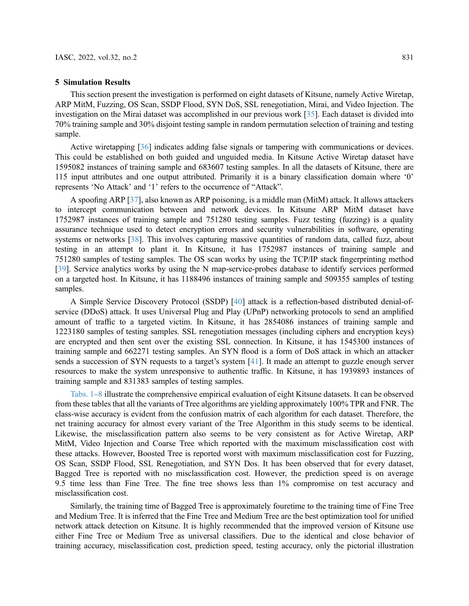#### 5 Simulation Results

This section present the investigation is performed on eight datasets of Kitsune, namely Active Wiretap, ARP MitM, Fuzzing, OS Scan, SSDP Flood, SYN DoS, SSL renegotiation, Mirai, and Video Injection. The investigation on the Mirai dataset was accomplished in our previous work [\[35](#page-13-4)]. Each dataset is divided into 70% training sample and 30% disjoint testing sample in random permutation selection of training and testing sample.

Active wiretapping [\[36](#page-13-5)] indicates adding false signals or tampering with communications or devices. This could be established on both guided and unguided media. In Kitsune Active Wiretap dataset have 1595082 instances of training sample and 683607 testing samples. In all the datasets of Kitsune, there are 115 input attributes and one output attributed. Primarily it is a binary classification domain where '0' represents 'No Attack' and '1' refers to the occurrence of "Attack".

A spoofing ARP [[37\]](#page-13-6), also known as ARP poisoning, is a middle man (MitM) attack. It allows attackers to intercept communication between and network devices. In Kitsune ARP MitM dataset have 1752987 instances of training sample and 751280 testing samples. Fuzz testing (fuzzing) is a quality assurance technique used to detect encryption errors and security vulnerabilities in software, operating systems or networks [[38\]](#page-13-7). This involves capturing massive quantities of random data, called fuzz, about testing in an attempt to plant it. In Kitsune, it has 1752987 instances of training sample and 751280 samples of testing samples. The OS scan works by using the TCP/IP stack fingerprinting method [[39](#page-13-8)]. Service analytics works by using the N map-service-probes database to identify services performed on a targeted host. In Kitsune, it has 1188496 instances of training sample and 509355 samples of testing samples.

A Simple Service Discovery Protocol (SSDP) [\[40](#page-13-9)] attack is a reflection-based distributed denial-ofservice (DDoS) attack. It uses Universal Plug and Play (UPnP) networking protocols to send an amplified amount of traffic to a targeted victim. In Kitsune, it has 2854086 instances of training sample and 1223180 samples of testing samples. SSL renegotiation messages (including ciphers and encryption keys) are encrypted and then sent over the existing SSL connection. In Kitsune, it has 1545300 instances of training sample and 662271 testing samples. An SYN flood is a form of DoS attack in which an attacker sends a succession of SYN requests to a target's system [\[41\]](#page-13-10). It made an attempt to guzzle enough server resources to make the system unresponsive to authentic traffic. In Kitsune, it has 1939893 instances of training sample and 831383 samples of testing samples.

[Tabs. 1](#page-5-0)–[8](#page-8-0) illustrate the comprehensive empirical evaluation of eight Kitsune datasets. It can be observed from these tables that all the variants of Tree algorithms are yielding approximately 100% TPR and FNR. The class-wise accuracy is evident from the confusion matrix of each algorithm for each dataset. Therefore, the net training accuracy for almost every variant of the Tree Algorithm in this study seems to be identical. Likewise, the misclassification pattern also seems to be very consistent as for Active Wiretap, ARP MitM, Video Injection and Coarse Tree which reported with the maximum misclassification cost with these attacks. However, Boosted Tree is reported worst with maximum misclassification cost for Fuzzing, OS Scan, SSDP Flood, SSL Renegotiation, and SYN Dos. It has been observed that for every dataset, Bagged Tree is reported with no misclassification cost. However, the prediction speed is on average 9.5 time less than Fine Tree. The fine tree shows less than 1% compromise on test accuracy and misclassification cost.

Similarly, the training time of Bagged Tree is approximately fouretime to the training time of Fine Tree and Medium Tree. It is inferred that the Fine Tree and Medium Tree are the best optimization tool for unified network attack detection on Kitsune. It is highly recommended that the improved version of Kitsune use either Fine Tree or Medium Tree as universal classifiers. Due to the identical and close behavior of training accuracy, misclassification cost, prediction speed, testing accuracy, only the pictorial illustration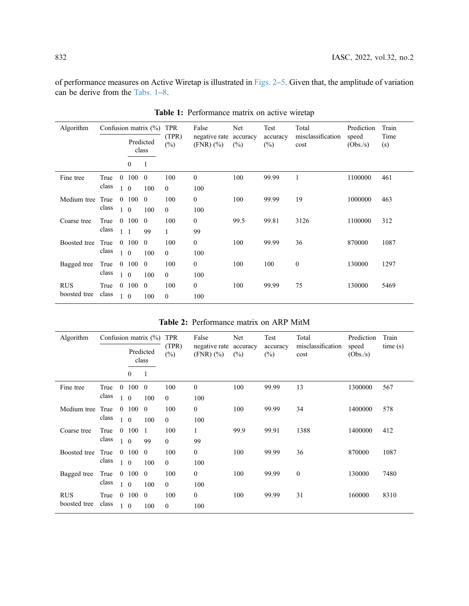of performance measures on Active Wiretap is illustrated in [Figs. 2](#page-9-0)–[5](#page-9-1). Given that, the amplitude of variation can be derive from the [Tabs. 1](#page-5-0)–[8.](#page-8-0)

<span id="page-5-0"></span>

| Algorithm    |       |              |                | Confusion matrix $(\% )$ | <b>TPR</b>      | False                        | Net             | Test               | Total                     | Prediction       | Train       |
|--------------|-------|--------------|----------------|--------------------------|-----------------|------------------------------|-----------------|--------------------|---------------------------|------------------|-------------|
|              |       |              |                | Predicted<br>class       | (TPR)<br>$(\%)$ | negative rate<br>$(FNR)(\%)$ | accuracy<br>(%) | accuracy<br>$(\%)$ | misclassification<br>cost | speed<br>(Obs/s) | Time<br>(s) |
|              |       |              | $\mathbf{0}$   | 1                        |                 |                              |                 |                    |                           |                  |             |
| Fine tree    | True  | $\mathbf{0}$ | 100            | $\mathbf{0}$             | 100             | $\boldsymbol{0}$             | 100             | 99.99              | 1                         | 1100000          | 461         |
|              | class |              | $1\quad 0$     | 100                      | $\theta$        | 100                          |                 |                    |                           |                  |             |
| Medium tree  | True  |              | 0 100          | $\Omega$                 | 100             | $\mathbf{0}$                 | 100             | 99.99              | 19                        | 1000000          | 463         |
|              | class | $\mathbf{1}$ | $\theta$       | 100                      | $\theta$        | 100                          |                 |                    |                           |                  |             |
| Coarse tree  | True  | $\theta$     | 100            | $\theta$                 | 100             | $\Omega$                     | 99.5            | 99.81              | 3126                      | 1100000          | 312         |
|              | class | $\mathbf{1}$ | $\overline{1}$ | 99                       | $\mathbf{1}$    | 99                           |                 |                    |                           |                  |             |
| Boosted tree | True  |              | 0 100          | $\theta$                 | 100             | $\mathbf{0}$                 | 100             | 99.99              | 36                        | 870000           | 1087        |
|              | class | $\mathbf{1}$ | $\overline{0}$ | 100                      | $\theta$        | 100                          |                 |                    |                           |                  |             |
| Bagged tree  | True  | $\mathbf{0}$ | 100            | $\overline{0}$           | 100             | $\boldsymbol{0}$             | 100             | 100                | $\mathbf{0}$              | 130000           | 1297        |
|              | class |              | $1\quad 0$     | 100                      | $\theta$        | 100                          |                 |                    |                           |                  |             |
| <b>RUS</b>   | True  | $\Omega$     | 100            | $\mathbf{0}$             | 100             | $\overline{0}$               | 100             | 99.99              | 75                        | 130000           | 5469        |
| boosted tree | class | $\mathbf{1}$ | $\overline{0}$ | 100                      | $\theta$        | 100                          |                 |                    |                           |                  |             |

Table 1: Performance matrix on active wiretap

| Algorithm                  |               |                          |                                  | Confusion matrix $(\%)$ | <b>TPR</b>                                      | False                 | Net             | Test               | Total                     | Prediction        | Train   |
|----------------------------|---------------|--------------------------|----------------------------------|-------------------------|-------------------------------------------------|-----------------------|-----------------|--------------------|---------------------------|-------------------|---------|
|                            |               |                          |                                  | Predicted<br>class      | (TPR)<br>negative rate<br>$(\%)$<br>$(FNR)(\%)$ |                       | accuracy<br>(%) | accuracy<br>$(\%)$ | misclassification<br>cost | speed<br>(Obs./s) | time(s) |
|                            |               |                          | $\mathbf{0}$                     | $\mathbf{1}$            |                                                 |                       |                 |                    |                           |                   |         |
| Fine tree                  | True<br>class | $\theta$                 | 100<br>$1\quad 0$                | $\overline{0}$<br>100   | 100<br>$\theta$                                 | $\overline{0}$<br>100 | 100             | 99.99              | 13                        | 1300000           | 567     |
| Medium tree                | True<br>class | $\theta$<br>$\mathbf{1}$ | 100<br>$\overline{0}$            | $\theta$<br>100         | 100<br>$\theta$                                 | $\overline{0}$<br>100 | 100             | 99.99              | 34                        | 1400000           | 578     |
| Coarse tree                | True<br>class |                          | 0 100<br>$1\quad0$               | -1<br>99                | 100<br>$\mathbf{0}$                             | 1<br>99               | 99.9            | 99.91              | 1388                      | 1400000           | 412     |
| Boosted tree               | True<br>class |                          | $0\quad 100\quad 0$<br>$1\quad0$ | 100                     | 100<br>$\theta$                                 | $\overline{0}$<br>100 | 100             | 99.99              | 36                        | 870000            | 1087    |
| Bagged tree                | True<br>class | $\overline{0}$           | 100<br>$1\quad 0$                | $\overline{0}$<br>100   | 100<br>$\theta$                                 | $\overline{0}$<br>100 | 100             | 99.99              | $\boldsymbol{0}$          | 130000            | 7480    |
| <b>RUS</b><br>boosted tree | True<br>class | $\theta$<br>$\mathbf{1}$ | 100<br>$\overline{0}$            | $\theta$<br>100         | 100<br>$\theta$                                 | $\overline{0}$<br>100 | 100             | 99.99              | 31                        | 160000            | 8310    |

|  | Table 2: Performance matrix on ARP MitM |  |  |  |  |
|--|-----------------------------------------|--|--|--|--|
|--|-----------------------------------------|--|--|--|--|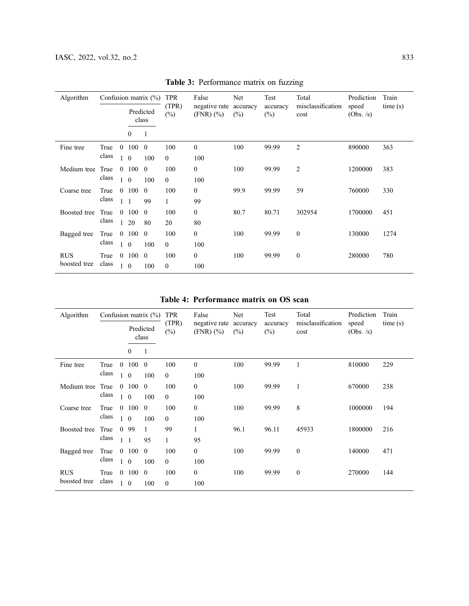| Algorithm    |       |                |                  | Confusion matrix $(\%)$ | <b>TPR</b>      | False                        | Net             | Test               | Total                     | Prediction         | Train   |
|--------------|-------|----------------|------------------|-------------------------|-----------------|------------------------------|-----------------|--------------------|---------------------------|--------------------|---------|
|              |       |                |                  | Predicted<br>class      | (TPR)<br>$(\%)$ | negative rate<br>$(FNR)(\%)$ | accuracy<br>(%) | accuracy<br>$(\%)$ | misclassification<br>cost | speed<br>(Obs. /s) | time(s) |
|              |       |                | $\boldsymbol{0}$ |                         |                 |                              |                 |                    |                           |                    |         |
| Fine tree    | True  | $\theta$       | 100              | $\theta$                | 100             | $\theta$                     | 100             | 99.99              | $\overline{2}$            | 890000             | 363     |
|              | class |                | $\mathbf{0}$     | 100                     | $\mathbf{0}$    | 100                          |                 |                    |                           |                    |         |
| Medium tree  | True  | $\theta$       | 100              | $\overline{0}$          | 100             | $\mathbf{0}$                 | 100             | 99.99              | 2                         | 1200000            | 383     |
|              | class | $\mathbf{1}$   | $\overline{0}$   | 100                     | $\theta$        | 100                          |                 |                    |                           |                    |         |
| Coarse tree  | True  | $\theta$       | 100              | $\theta$                | 100             | $\mathbf{0}$                 | 99.9            | 99.99              | 59                        | 760000             | 330     |
|              | class |                | $\overline{1}$   | 99                      | $\mathbf{1}$    | 99                           |                 |                    |                           |                    |         |
| Boosted tree | True  |                | $0\ 100$         | $\overline{0}$          | 100             | $\mathbf{0}$                 | 80.7            | 80.71              | 302954                    | 1700000            | 451     |
|              | class | $\mathbf{1}$   | 20               | 80                      | 20              | 80                           |                 |                    |                           |                    |         |
| Bagged tree  | True  | $\overline{0}$ | 100              | $\mathbf{0}$            | 100             | $\mathbf{0}$                 | 100             | 99.99              | $\mathbf{0}$              | 130000             | 1274    |
|              | class | 1              | $\theta$         | 100                     | $\theta$        | 100                          |                 |                    |                           |                    |         |
| <b>RUS</b>   | True  |                | $0\ 100$         | $\theta$                | 100             | $\mathbf{0}$                 | 100             | 99.99              | $\boldsymbol{0}$          | 280000             | 780     |
| boosted tree | class | $\mathbf{1}$   | $\overline{0}$   | 100                     | $\theta$        | 100                          |                 |                    |                           |                    |         |

Table 3: Performance matrix on fuzzing

Table 4: Performance matrix on OS scan

| Algorithm    |       |                |                    | Confusion matrix $(\% )$ | <b>TPR</b>      | False                        | Net             | Test               | Total                     | Prediction         | Train   |
|--------------|-------|----------------|--------------------|--------------------------|-----------------|------------------------------|-----------------|--------------------|---------------------------|--------------------|---------|
|              |       |                | Predicted<br>class |                          | (TPR)<br>$(\%)$ | negative rate<br>$(FNR)(\%)$ | accuracy<br>(%) | accuracy<br>$(\%)$ | misclassification<br>cost | speed<br>(Obs. /s) | time(s) |
|              |       |                | $\mathbf{0}$       | 1                        |                 |                              |                 |                    |                           |                    |         |
| Fine tree    | True  | $\overline{0}$ | $100 \quad 0$      |                          | 100             | $\mathbf{0}$                 | 100             | 99.99              | $\mathbf{1}$              | 810000             | 229     |
|              | class |                | $1\quad 0$         | 100                      | $\theta$        | 100                          |                 |                    |                           |                    |         |
| Medium tree  | True  | $\theta$       | 100                | $\theta$                 | 100             | $\mathbf{0}$                 | 100             | 99.99              | $\mathbf{1}$              | 670000             | 238     |
|              | class | $\mathbf{1}$   | $\overline{0}$     | 100                      | $\theta$        | 100                          |                 |                    |                           |                    |         |
| Coarse tree  | True  | $\Omega$       | 100                | $\theta$                 | 100             | $\overline{0}$               | 100             | 99.99              | 8                         | 1000000            | 194     |
|              | class |                | $1\quad0$          | 100                      | $\theta$        | 100                          |                 |                    |                           |                    |         |
| Boosted tree | True  | $\theta$       | 99                 | $\mathbf{1}$             | 99              | $\mathbf{1}$                 | 96.1            | 96.11              | 45933                     | 1800000            | 216     |
|              | class | $\mathbf{1}$   | $\overline{1}$     | 95                       | 1               | 95                           |                 |                    |                           |                    |         |
| Bagged tree  | True  |                | $0\ 100$           | $\mathbf{0}$             | 100             | $\mathbf{0}$                 | 100             | 99.99              | $\boldsymbol{0}$          | 140000             | 471     |
|              | class | $\mathbf{1}$   | $\overline{0}$     | 100                      | $\mathbf{0}$    | 100                          |                 |                    |                           |                    |         |
| <b>RUS</b>   | True  |                | $0\ 100\ 0$        |                          | 100             | $\mathbf{0}$                 | 100             | 99.99              | $\boldsymbol{0}$          | 270000             | 144     |
| boosted tree | class |                | $\theta$           | 100                      | $\theta$        | 100                          |                 |                    |                           |                    |         |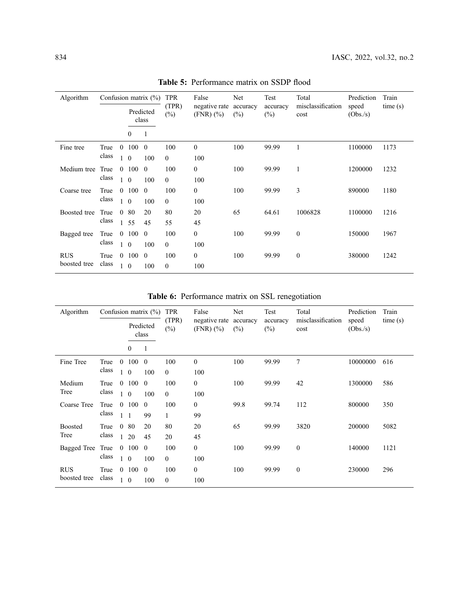| Algorithm                  |       |                       |            | Confusion matrix $(\%)$ | <b>TPR</b><br>(TPR) | False          | Net | Test               | Total                                  | Prediction      | Train              |                           |                   |         |
|----------------------------|-------|-----------------------|------------|-------------------------|---------------------|----------------|-----|--------------------|----------------------------------------|-----------------|--------------------|---------------------------|-------------------|---------|
|                            |       |                       |            |                         |                     |                |     | Predicted<br>class | negative rate<br>$(\%)$<br>$(FNR)(\%)$ | accuracy<br>(%) | accuracy<br>$(\%)$ | misclassification<br>cost | speed<br>(Obs./s) | time(s) |
|                            |       |                       | $\theta$   | 1                       |                     |                |     |                    |                                        |                 |                    |                           |                   |         |
| Fine tree                  | True  | $\theta$              | 100        | $\overline{0}$          | 100                 | $\mathbf{0}$   | 100 | 99.99              | 1                                      | 1100000         | 1173               |                           |                   |         |
|                            | class | $\mathbf{1}$          | $\theta$   | 100                     | $\theta$            | 100            |     |                    |                                        |                 |                    |                           |                   |         |
| Medium tree                | True  | $\theta$              | $100\quad$ |                         | 100                 | $\overline{0}$ | 100 | 99.99              | $\mathbf{1}$                           | 1200000         | 1232               |                           |                   |         |
|                            | class |                       | $1\quad0$  | 100                     | $\theta$            | 100            |     |                    |                                        |                 |                    |                           |                   |         |
| Coarse tree                | True  | $\theta$              | 100        | $\theta$                | 100                 | $\overline{0}$ | 100 | 99.99              | 3                                      | 890000          | 1180               |                           |                   |         |
|                            | class |                       | $1\quad 0$ | 100                     | $\theta$            | 100            |     |                    |                                        |                 |                    |                           |                   |         |
| Boosted tree               | True  | $\theta$              | 80         | 20                      | 80                  | 20             | 65  | 64.61              | 1006828                                | 1100000         | 1216               |                           |                   |         |
|                            | class |                       | 1 55       | 45                      | 55                  | 45             |     |                    |                                        |                 |                    |                           |                   |         |
| Bagged tree                | True  | $\mathbf{0}$          | 100        | $\overline{0}$          | 100                 | $\overline{0}$ | 100 | 99.99              | $\mathbf{0}$                           | 150000          | 1967               |                           |                   |         |
|                            | class |                       | $1\quad 0$ | 100                     | $\theta$            | 100            |     |                    |                                        |                 |                    |                           |                   |         |
| <b>RUS</b><br>boosted tree | True  | class<br>$\mathbf{1}$ | 0 100      | $\theta$                | 100                 | $\overline{0}$ | 100 | 99.99              | $\boldsymbol{0}$                       | 380000          | 1242               |                           |                   |         |
|                            |       |                       | $\theta$   | 100                     | $\theta$            | 100            |     |                    |                                        |                 |                    |                           |                   |         |

Table 5: Performance matrix on SSDP flood

Table 6: Performance matrix on SSL renegotiation

| Algorithm      |       |              | Confusion matrix $(\%)$ | <b>TPR</b>   | False           | Net                          | Test            | Total              | Prediction                | Train             |         |
|----------------|-------|--------------|-------------------------|--------------|-----------------|------------------------------|-----------------|--------------------|---------------------------|-------------------|---------|
|                |       |              | Predicted<br>class      |              | (TPR)<br>$(\%)$ | negative rate<br>$(FNR)(\%)$ | accuracy<br>(%) | accuracy<br>$(\%)$ | misclassification<br>cost | speed<br>(Obs./s) | time(s) |
|                |       |              | $\boldsymbol{0}$        | 1            |                 |                              |                 |                    |                           |                   |         |
| Fine Tree      | True  | $\mathbf{0}$ | 100                     | $\mathbf{0}$ | 100             | $\mathbf{0}$                 | 100             | 99.99              | 7                         | 10000000          | 616     |
|                | class | $\vert$ 1    | $\overline{0}$          | 100          | $\mathbf{0}$    | 100                          |                 |                    |                           |                   |         |
| Medium         | True  |              | 0 100                   | $\theta$     | 100             | $\mathbf{0}$                 | 100             | 99.99              | 42                        | 1300000           | 586     |
| Tree           | class | $\mathbf{1}$ | $\overline{0}$          | 100          | $\theta$        | 100                          |                 |                    |                           |                   |         |
| Coarse Tree    | True  | $\theta$     | 100                     | $\theta$     | 100             | $\theta$                     | 99.8            | 99.74              | 112                       | 800000            | 350     |
|                | class | $\mathbf{1}$ | $\overline{1}$          | 99           | $\mathbf{1}$    | 99                           |                 |                    |                           |                   |         |
| <b>Boosted</b> | True  |              | 080                     | 20           | 80              | 20                           | 65              | 99.99              | 3820                      | 200000            | 5082    |
| Tree           | class | $\mathbf{1}$ | 20                      | 45           | 20              | 45                           |                 |                    |                           |                   |         |
| Bagged Tree    | True  |              | $0\ 100$                | $\mathbf{0}$ | 100             | $\mathbf{0}$                 | 100             | 99.99              | $\mathbf{0}$              | 140000            | 1121    |
|                | class | $\mathbf{1}$ | $\theta$                | 100          | $\theta$        | 100                          |                 |                    |                           |                   |         |
| <b>RUS</b>     | True  |              | 0 100                   | $\theta$     | 100             | $\mathbf{0}$                 | 100             | 99.99              | $\boldsymbol{0}$          | 230000            | 296     |
| boosted tree   | class | $\mathbf{1}$ | $\theta$                | 100          | $\theta$        | 100                          |                 |                    |                           |                   |         |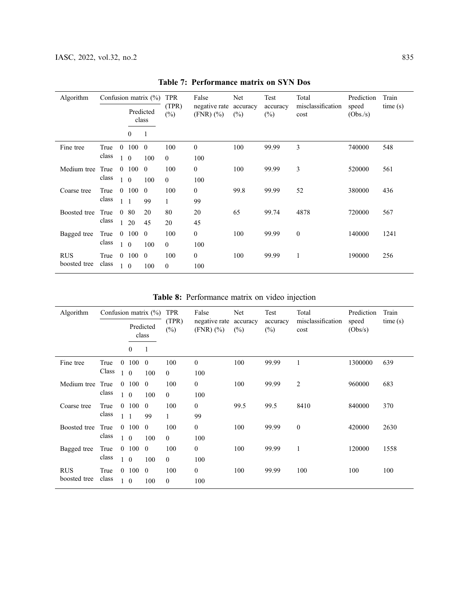| Algorithm                  |              |                    | Confusion matrix $(\%)$ | <b>TPR</b><br>False |                 | Net                          | Test<br>accuracy   | Total  | Prediction                | Train             |         |
|----------------------------|--------------|--------------------|-------------------------|---------------------|-----------------|------------------------------|--------------------|--------|---------------------------|-------------------|---------|
|                            |              | Predicted<br>class |                         |                     | (TPR)<br>$(\%)$ | negative rate<br>$(FNR)(\%)$ | accuracy<br>$(\%)$ | $(\%)$ | misclassification<br>cost | speed<br>(Obs./s) | time(s) |
|                            |              |                    | $\theta$                | 1                   |                 |                              |                    |        |                           |                   |         |
| Fine tree                  | True         | $\theta$           | $100 \t 0$              |                     | 100             | $\theta$                     | 100                | 99.99  | 3                         | 740000            | 548     |
| class                      | $\mathbf{1}$ | $\overline{0}$     | 100                     | $\theta$            | 100             |                              |                    |        |                           |                   |         |
| Medium tree                | True         |                    | $0\ 100\ 0$             |                     | 100             | $\overline{0}$               | 100                | 99.99  | 3                         | 520000            | 561     |
|                            | class        |                    | $1\quad0$               | 100                 | $\theta$        | 100                          |                    |        |                           |                   |         |
| Coarse tree                | True         | $\theta$           | 100                     | $\theta$            | 100             | $\Omega$                     | 99.8               | 99.99  | 52                        | 380000            | 436     |
|                            | class        |                    | $1\quad1$               | 99                  | $\mathbf{1}$    | 99                           |                    |        |                           |                   |         |
| Boosted tree               | True         | $\theta$           | 80                      | 20                  | 80              | 20                           | 65                 | 99.74  | 4878                      | 720000            | 567     |
|                            | class        | $\mathbf{1}$       | 20                      | 45                  | 20              | 45                           |                    |        |                           |                   |         |
| Bagged tree                | True         | $\mathbf{0}$       | 100                     | $\theta$            | 100             | $\overline{0}$               | 100                | 99.99  | $\mathbf{0}$              | 140000            | 1241    |
|                            | class        |                    | $1\quad 0$              | 100                 | $\theta$        | 100                          |                    |        |                           |                   |         |
| <b>RUS</b><br>boosted tree | True         |                    | $0\ 100$                | $\theta$            | 100             | $\overline{0}$               | 100                | 99.99  | $\mathbf{1}$              | 190000            | 256     |
|                            | class        | $\mathbf{1}$       | $\overline{0}$          | 100                 | $\mathbf{0}$    | 100                          |                    |        |                           |                   |         |

Table 7: Performance matrix on SYN Dos

Table 8: Performance matrix on video injection

<span id="page-8-0"></span>

| Algorithm    |       |                |                    | Confusion matrix $(\%)$ | <b>TPR</b>      | False                        | Net             | Test               | Total                     | Prediction       | Train   |
|--------------|-------|----------------|--------------------|-------------------------|-----------------|------------------------------|-----------------|--------------------|---------------------------|------------------|---------|
|              |       |                | Predicted<br>class |                         | (TPR)<br>$(\%)$ | negative rate<br>$(FNR)(\%)$ | accuracy<br>(%) | accuracy<br>$(\%)$ | misclassification<br>cost | speed<br>(Obs/s) | time(s) |
|              |       |                | $\mathbf{0}$       | 1                       |                 |                              |                 |                    |                           |                  |         |
| Fine tree    | True  | $\mathbf{0}$   | 100                | $\mathbf{0}$            | 100             | $\mathbf{0}$                 | 100             | 99.99              | 1                         | 1300000          | 639     |
|              | Class | $\mathbf{1}$   | $\overline{0}$     | 100                     | $\theta$        | 100                          |                 |                    |                           |                  |         |
| Medium tree  | True  | $\Omega$       | 100                | $\theta$                | 100             | $\mathbf{0}$                 | 100             | 99.99              | 2                         | 960000           | 683     |
|              | class | 1              | $\mathbf{0}$       | 100                     | $\mathbf{0}$    | 100                          |                 |                    |                           |                  |         |
| Coarse tree  | True  | $\Omega$       | 100                | $\theta$                | 100             | $\theta$                     | 99.5            | 99.5               | 8410                      | 840000           | 370     |
|              | class | 1              | $\overline{1}$     | 99                      | $\mathbf{1}$    | 99                           |                 |                    |                           |                  |         |
| Boosted tree | True  | $\overline{0}$ | 100                | $\mathbf{0}$            | 100             | $\mathbf{0}$                 | 100             | 99.99              | $\mathbf{0}$              | 420000           | 2630    |
|              | class | 1              | $\overline{0}$     | 100                     | $\theta$        | 100                          |                 |                    |                           |                  |         |
| Bagged tree  | True  | $\overline{0}$ | 100                | $\mathbf{0}$            | 100             | $\mathbf{0}$                 | 100             | 99.99              | 1                         | 120000           | 1558    |
|              | class | $\mathbf{1}$   | $\mathbf{0}$       | 100                     | $\theta$        | 100                          |                 |                    |                           |                  |         |
| <b>RUS</b>   | True  |                | 0 100              | $\mathbf{0}$            | 100             | $\boldsymbol{0}$             | 100             | 99.99              | 100                       | 100              | 100     |
| boosted tree | class | $\mathbf{1}$   | $\theta$           | 100                     | $\theta$        | 100                          |                 |                    |                           |                  |         |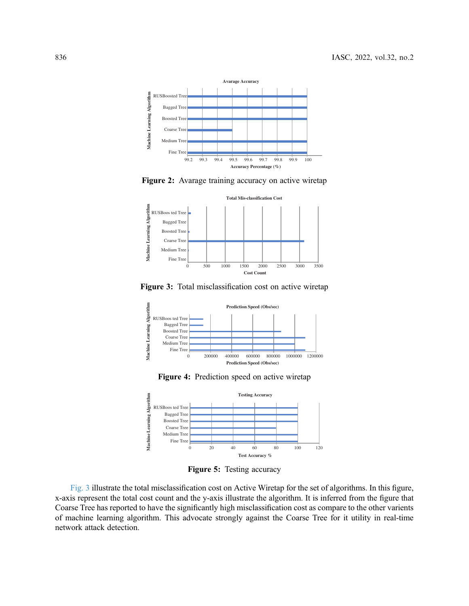<span id="page-9-0"></span>



<span id="page-9-2"></span>



<span id="page-9-3"></span>

Figure 4: Prediction speed on active wiretap

<span id="page-9-1"></span>

Figure 5: Testing accuracy

[Fig. 3](#page-9-2) illustrate the total misclassification cost on Active Wiretap for the set of algorithms. In this figure, x-axis represent the total cost count and the y-axis illustrate the algorithm. It is inferred from the figure that Coarse Tree has reported to have the significantly high misclassification cost as compare to the other varients of machine learning algorithm. This advocate strongly against the Coarse Tree for it utility in real-time network attack detection.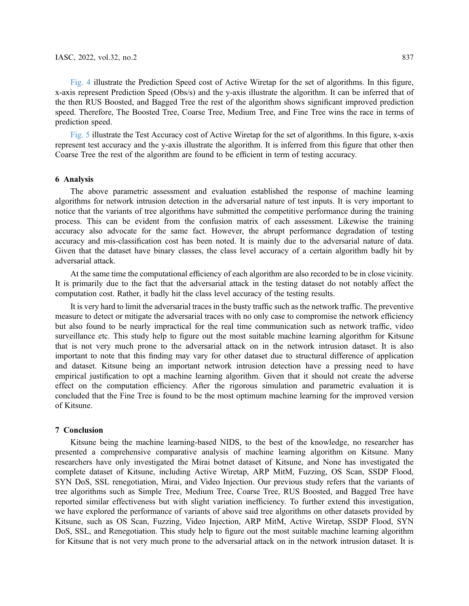[Fig. 4](#page-9-3) illustrate the Prediction Speed cost of Active Wiretap for the set of algorithms. In this figure, x-axis represent Prediction Speed (Obs/s) and the y-axis illustrate the algorithm. It can be inferred that of the then RUS Boosted, and Bagged Tree the rest of the algorithm shows significant improved prediction speed. Therefore, The Boosted Tree, Coarse Tree, Medium Tree, and Fine Tree wins the race in terms of prediction speed.

[Fig. 5](#page-9-1) illustrate the Test Accuracy cost of Active Wiretap for the set of algorithms. In this figure, x-axis represent test accuracy and the y-axis illustrate the algorithm. It is inferred from this figure that other then Coarse Tree the rest of the algorithm are found to be efficient in term of testing accuracy.

#### 6 Analysis

The above parametric assessment and evaluation established the response of machine learning algorithms for network intrusion detection in the adversarial nature of test inputs. It is very important to notice that the variants of tree algorithms have submitted the competitive performance during the training process. This can be evident from the confusion matrix of each assessment. Likewise the training accuracy also advocate for the same fact. However, the abrupt performance degradation of testing accuracy and mis-classification cost has been noted. It is mainly due to the adversarial nature of data. Given that the dataset have binary classes, the class level accuracy of a certain algorithm badly hit by adversarial attack.

At the same time the computational efficiency of each algorithm are also recorded to be in close vicinity. It is primarily due to the fact that the adversarial attack in the testing dataset do not notably affect the computation cost. Rather, it badly hit the class level accuracy of the testing results.

It is very hard to limit the adversarial traces in the busty traffic such as the network traffic. The preventive measure to detect or mitigate the adversarial traces with no only case to compromise the network efficiency but also found to be nearly impractical for the real time communication such as network traffic, video surveillance etc. This study help to figure out the most suitable machine learning algorithm for Kitsune that is not very much prone to the adversarial attack on in the network intrusion dataset. It is also important to note that this finding may vary for other dataset due to structural difference of application and dataset. Kitsune being an important network intrusion detection have a pressing need to have empirical justification to opt a machine learning algorithm. Given that it should not create the adverse effect on the computation efficiency. After the rigorous simulation and parametric evaluation it is concluded that the Fine Tree is found to be the most optimum machine learning for the improved version of Kitsune.

#### 7 Conclusion

Kitsune being the machine learning-based NIDS, to the best of the knowledge, no researcher has presented a comprehensive comparative analysis of machine learning algorithm on Kitsune. Many researchers have only investigated the Mirai botnet dataset of Kitsune, and None has investigated the complete dataset of Kitsune, including Active Wiretap, ARP MitM, Fuzzing, OS Scan, SSDP Flood, SYN DoS, SSL renegotiation, Mirai, and Video Injection. Our previous study refers that the variants of tree algorithms such as Simple Tree, Medium Tree, Coarse Tree, RUS Boosted, and Bagged Tree have reported similar effectiveness but with slight variation inefficiency. To further extend this investigation, we have explored the performance of variants of above said tree algorithms on other datasets provided by Kitsune, such as OS Scan, Fuzzing, Video Injection, ARP MitM, Active Wiretap, SSDP Flood, SYN DoS, SSL, and Renegotiation. This study help to figure out the most suitable machine learning algorithm for Kitsune that is not very much prone to the adversarial attack on in the network intrusion dataset. It is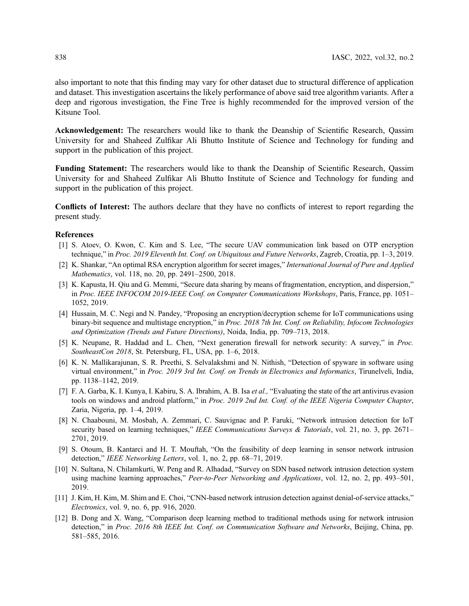also important to note that this finding may vary for other dataset due to structural difference of application and dataset. This investigation ascertains the likely performance of above said tree algorithm variants. After a deep and rigorous investigation, the Fine Tree is highly recommended for the improved version of the Kitsune Tool.

Acknowledgement: The researchers would like to thank the Deanship of Scientific Research, Qassim University for and Shaheed Zulfikar Ali Bhutto Institute of Science and Technology for funding and support in the publication of this project.

Funding Statement: The researchers would like to thank the Deanship of Scientific Research, Qassim University for and Shaheed Zulfikar Ali Bhutto Institute of Science and Technology for funding and support in the publication of this project.

Conflicts of Interest: The authors declare that they have no conflicts of interest to report regarding the present study.

## References

- <span id="page-11-0"></span>[1] S. Atoev, O. Kwon, C. Kim and S. Lee, "The secure UAV communication link based on OTP encryption technique," in Proc. 2019 Eleventh Int. Conf. on Ubiquitous and Future Networks, Zagreb, Croatia, pp. 1–3, 2019.
- <span id="page-11-1"></span>[2] K. Shankar, "An optimal RSA encryption algorithm for secret images," International Journal of Pure and Applied Mathematics, vol. 118, no. 20, pp. 2491–2500, 2018.
- <span id="page-11-2"></span>[3] K. Kapusta, H. Qiu and G. Memmi, "Secure data sharing by means of fragmentation, encryption, and dispersion," in Proc. IEEE INFOCOM 2019-IEEE Conf. on Computer Communications Workshops, Paris, France, pp. 1051– 1052, 2019.
- <span id="page-11-3"></span>[4] Hussain, M. C. Negi and N. Pandey, "Proposing an encryption/decryption scheme for IoT communications using binary-bit sequence and multistage encryption," in Proc. 2018 7th Int. Conf. on Reliability, Infocom Technologies and Optimization (Trends and Future Directions), Noida, India, pp. 709–713, 2018.
- <span id="page-11-4"></span>[5] K. Neupane, R. Haddad and L. Chen, "Next generation firewall for network security: A survey," in Proc. SoutheastCon 2018, St. Petersburg, FL, USA, pp. 1–6, 2018.
- <span id="page-11-5"></span>[6] K. N. Mallikarajunan, S. R. Preethi, S. Selvalakshmi and N. Nithish, "Detection of spyware in software using virtual environment," in Proc. 2019 3rd Int. Conf. on Trends in Electronics and Informatics, Tirunelveli, India, pp. 1138–1142, 2019.
- <span id="page-11-6"></span>[7] F. A. Garba, K. I. Kunya, I. Kabiru, S. A. Ibrahim, A. B. Isa et al., "Evaluating the state of the art antivirus evasion tools on windows and android platform," in Proc. 2019 2nd Int. Conf. of the IEEE Nigeria Computer Chapter, Zaria, Nigeria, pp. 1–4, 2019.
- <span id="page-11-7"></span>[8] N. Chaabouni, M. Mosbah, A. Zemmari, C. Sauvignac and P. Faruki, "Network intrusion detection for IoT security based on learning techniques," IEEE Communications Surveys & Tutorials, vol. 21, no. 3, pp. 2671– 2701, 2019.
- [9] S. Otoum, B. Kantarci and H. T. Mouftah, "On the feasibility of deep learning in sensor network intrusion detection," IEEE Networking Letters, vol. 1, no. 2, pp. 68-71, 2019.
- [10] N. Sultana, N. Chilamkurti, W. Peng and R. Alhadad, "Survey on SDN based network intrusion detection system using machine learning approaches," Peer-to-Peer Networking and Applications, vol. 12, no. 2, pp. 493-501, 2019.
- <span id="page-11-8"></span>[11] J. Kim, H. Kim, M. Shim and E. Choi, "CNN-based network intrusion detection against denial-of-service attacks," Electronics, vol. 9, no. 6, pp. 916, 2020.
- <span id="page-11-9"></span>[12] B. Dong and X. Wang, "Comparison deep learning method to traditional methods using for network intrusion detection," in Proc. 2016 8th IEEE Int. Conf. on Communication Software and Networks, Beijing, China, pp. 581–585, 2016.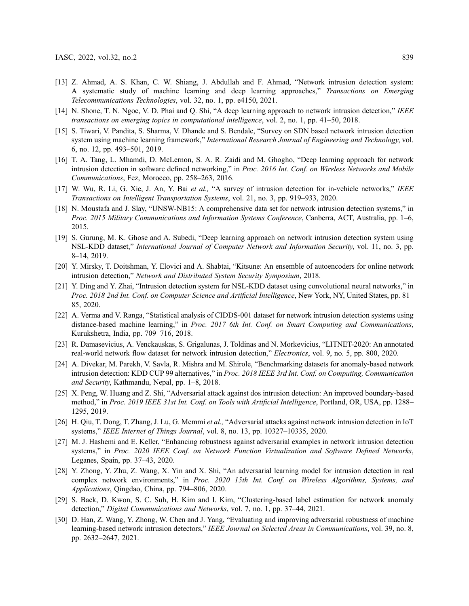- <span id="page-12-0"></span>[13] Z. Ahmad, A. S. Khan, C. W. Shiang, J. Abdullah and F. Ahmad, "Network intrusion detection system: A systematic study of machine learning and deep learning approaches," Transactions on Emerging Telecommunications Technologies, vol. 32, no. 1, pp. e4150, 2021.
- <span id="page-12-1"></span>[14] N. Shone, T. N. Ngoc, V. D. Phai and Q. Shi, "A deep learning approach to network intrusion detection," IEEE transactions on emerging topics in computational intelligence, vol. 2, no. 1, pp. 41–50, 2018.
- <span id="page-12-2"></span>[15] S. Tiwari, V. Pandita, S. Sharma, V. Dhande and S. Bendale, "Survey on SDN based network intrusion detection system using machine learning framework," International Research Journal of Engineering and Technology, vol. 6, no. 12, pp. 493–501, 2019.
- <span id="page-12-3"></span>[16] T. A. Tang, L. Mhamdi, D. McLernon, S. A. R. Zaidi and M. Ghogho, "Deep learning approach for network intrusion detection in software defined networking," in Proc. 2016 Int. Conf. on Wireless Networks and Mobile Communications, Fez, Morocco, pp. 258–263, 2016.
- <span id="page-12-4"></span>[17] W. Wu, R. Li, G. Xie, J. An, Y. Bai et al., "A survey of intrusion detection for in-vehicle networks," IEEE Transactions on Intelligent Transportation Systems, vol. 21, no. 3, pp. 919–933, 2020.
- <span id="page-12-5"></span>[18] N. Moustafa and J. Slay, "UNSW-NB15: A comprehensive data set for network intrusion detection systems," in Proc. 2015 Military Communications and Information Systems Conference, Canberra, ACT, Australia, pp. 1–6, 2015.
- <span id="page-12-6"></span>[19] S. Gurung, M. K. Ghose and A. Subedi, "Deep learning approach on network intrusion detection system using NSL-KDD dataset," International Journal of Computer Network and Information Security, vol. 11, no. 3, pp. 8–14, 2019.
- <span id="page-12-7"></span>[20] Y. Mirsky, T. Doitshman, Y. Elovici and A. Shabtai, "Kitsune: An ensemble of autoencoders for online network intrusion detection," Network and Distributed System Security Symposium, 2018.
- <span id="page-12-8"></span>[21] Y. Ding and Y. Zhai, "Intrusion detection system for NSL-KDD dataset using convolutional neural networks," in Proc. 2018 2nd Int. Conf. on Computer Science and Artificial Intelligence, New York, NY, United States, pp. 81– 85, 2020.
- <span id="page-12-9"></span>[22] A. Verma and V. Ranga, "Statistical analysis of CIDDS-001 dataset for network intrusion detection systems using distance-based machine learning," in Proc. 2017 6th Int. Conf. on Smart Computing and Communications, Kurukshetra, India, pp. 709–716, 2018.
- <span id="page-12-10"></span>[23] R. Damasevicius, A. Venckauskas, S. Grigalunas, J. Toldinas and N. Morkevicius, "LITNET-2020: An annotated real-world network flow dataset for network intrusion detection," Electronics, vol. 9, no. 5, pp. 800, 2020.
- <span id="page-12-11"></span>[24] A. Divekar, M. Parekh, V. Savla, R. Mishra and M. Shirole, "Benchmarking datasets for anomaly-based network intrusion detection: KDD CUP 99 alternatives," in Proc. 2018 IEEE 3rd Int. Conf. on Computing, Communication and Security, Kathmandu, Nepal, pp. 1–8, 2018.
- <span id="page-12-12"></span>[25] X. Peng, W. Huang and Z. Shi, "Adversarial attack against dos intrusion detection: An improved boundary-based method," in Proc. 2019 IEEE 31st Int. Conf. on Tools with Artificial Intelligence, Portland, OR, USA, pp. 1288– 1295, 2019.
- <span id="page-12-13"></span>[26] H. Qiu, T. Dong, T. Zhang, J. Lu, G. Memmi et al., "Adversarial attacks against network intrusion detection in IoT systems," IEEE Internet of Things Journal, vol. 8, no. 13, pp. 10327–10335, 2020.
- <span id="page-12-14"></span>[27] M. J. Hashemi and E. Keller, "Enhancing robustness against adversarial examples in network intrusion detection systems," in Proc. 2020 IEEE Conf. on Network Function Virtualization and Software Defined Networks, Leganes, Spain, pp. 37–43, 2020.
- <span id="page-12-15"></span>[28] Y. Zhong, Y. Zhu, Z. Wang, X. Yin and X. Shi, "An adversarial learning model for intrusion detection in real complex network environments," in Proc. 2020 15th Int. Conf. on Wireless Algorithms, Systems, and Applications, Qingdao, China, pp. 794–806, 2020.
- <span id="page-12-16"></span>[29] S. Baek, D. Kwon, S. C. Suh, H. Kim and I. Kim, "Clustering-based label estimation for network anomaly detection," Digital Communications and Networks, vol. 7, no. 1, pp. 37–44, 2021.
- <span id="page-12-17"></span>[30] D. Han, Z. Wang, Y. Zhong, W. Chen and J. Yang, "Evaluating and improving adversarial robustness of machine learning-based network intrusion detectors," IEEE Journal on Selected Areas in Communications, vol. 39, no. 8, pp. 2632–2647, 2021.